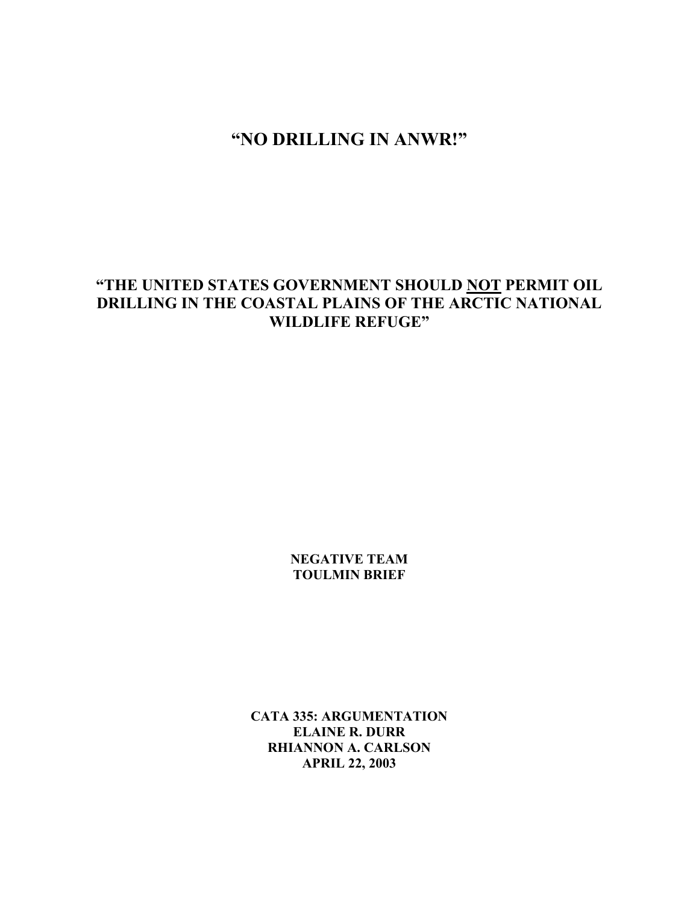# **"NO DRILLING IN ANWR!"**

# **"THE UNITED STATES GOVERNMENT SHOULD NOT PERMIT OIL DRILLING IN THE COASTAL PLAINS OF THE ARCTIC NATIONAL WILDLIFE REFUGE"**

**NEGATIVE TEAM TOULMIN BRIEF** 

**CATA 335: ARGUMENTATION ELAINE R. DURR RHIANNON A. CARLSON APRIL 22, 2003**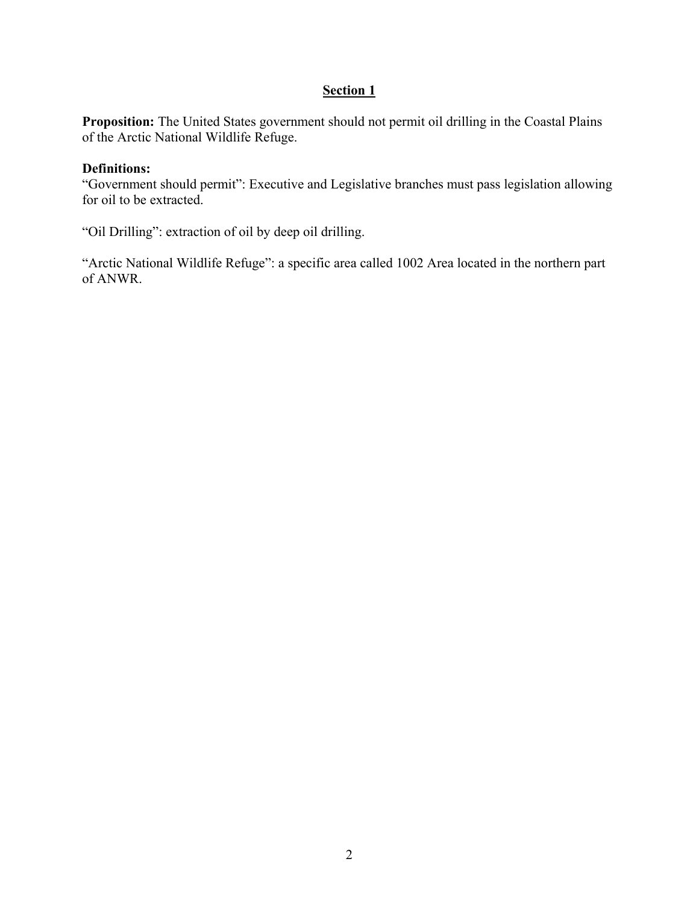# **Section 1**

**Proposition:** The United States government should not permit oil drilling in the Coastal Plains of the Arctic National Wildlife Refuge.

### **Definitions:**

"Government should permit": Executive and Legislative branches must pass legislation allowing for oil to be extracted.

"Oil Drilling": extraction of oil by deep oil drilling.

"Arctic National Wildlife Refuge": a specific area called 1002 Area located in the northern part of ANWR.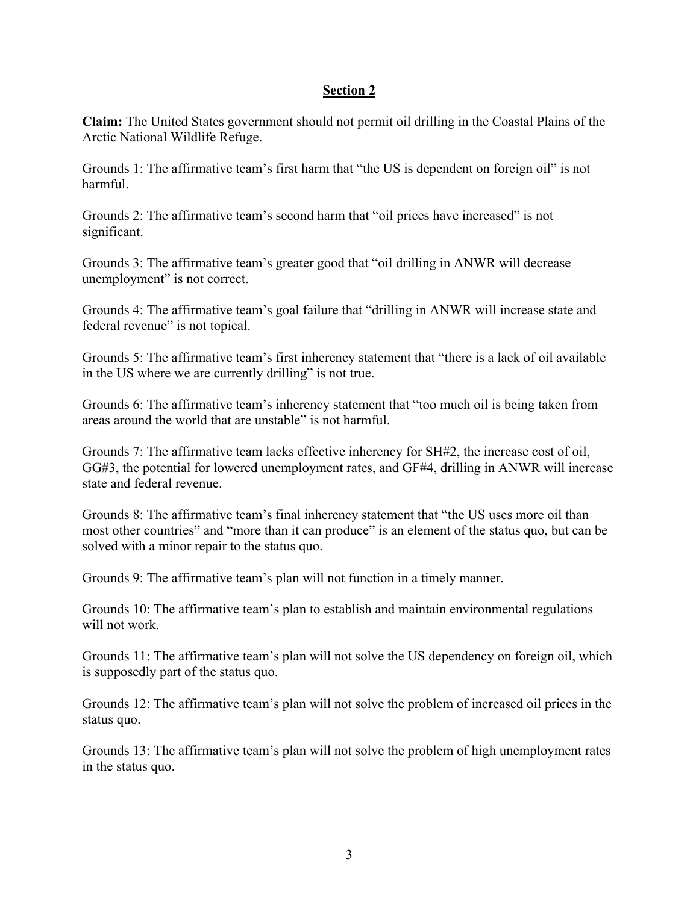### **Section 2**

**Claim:** The United States government should not permit oil drilling in the Coastal Plains of the Arctic National Wildlife Refuge.

Grounds 1: The affirmative team's first harm that "the US is dependent on foreign oil" is not harmful.

Grounds 2: The affirmative team's second harm that "oil prices have increased" is not significant.

Grounds 3: The affirmative team's greater good that "oil drilling in ANWR will decrease unemployment" is not correct.

Grounds 4: The affirmative team's goal failure that "drilling in ANWR will increase state and federal revenue" is not topical.

Grounds 5: The affirmative team's first inherency statement that "there is a lack of oil available in the US where we are currently drilling" is not true.

Grounds 6: The affirmative team's inherency statement that "too much oil is being taken from areas around the world that are unstable" is not harmful.

Grounds 7: The affirmative team lacks effective inherency for SH#2, the increase cost of oil, GG#3, the potential for lowered unemployment rates, and GF#4, drilling in ANWR will increase state and federal revenue.

Grounds 8: The affirmative team's final inherency statement that "the US uses more oil than most other countries" and "more than it can produce" is an element of the status quo, but can be solved with a minor repair to the status quo.

Grounds 9: The affirmative team's plan will not function in a timely manner.

Grounds 10: The affirmative team's plan to establish and maintain environmental regulations will not work.

Grounds 11: The affirmative team's plan will not solve the US dependency on foreign oil, which is supposedly part of the status quo.

Grounds 12: The affirmative team's plan will not solve the problem of increased oil prices in the status quo.

Grounds 13: The affirmative team's plan will not solve the problem of high unemployment rates in the status quo.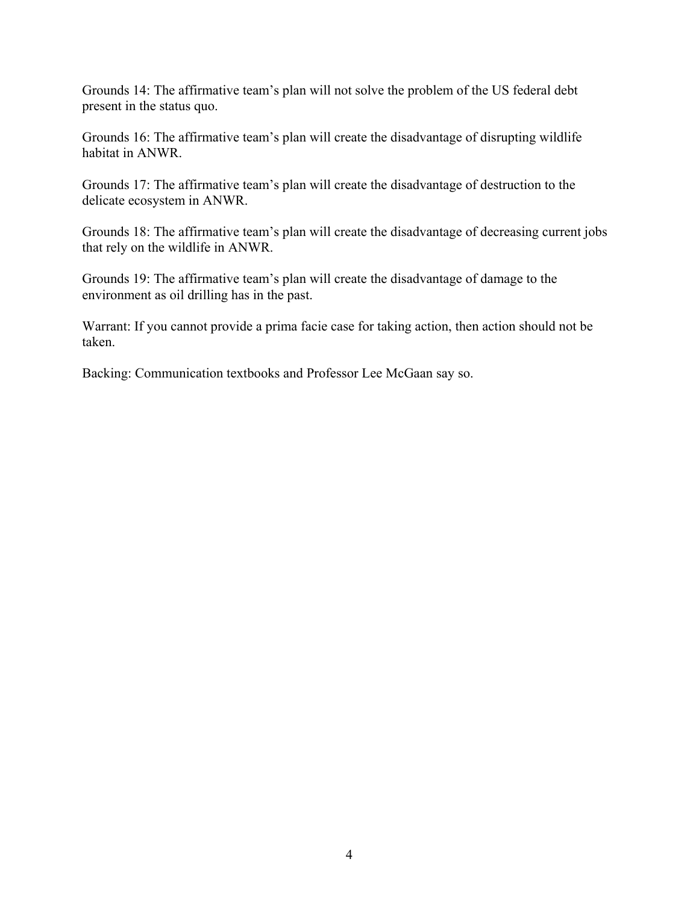Grounds 14: The affirmative team's plan will not solve the problem of the US federal debt present in the status quo.

Grounds 16: The affirmative team's plan will create the disadvantage of disrupting wildlife habitat in ANWR.

Grounds 17: The affirmative team's plan will create the disadvantage of destruction to the delicate ecosystem in ANWR.

Grounds 18: The affirmative team's plan will create the disadvantage of decreasing current jobs that rely on the wildlife in ANWR.

Grounds 19: The affirmative team's plan will create the disadvantage of damage to the environment as oil drilling has in the past.

Warrant: If you cannot provide a prima facie case for taking action, then action should not be taken.

Backing: Communication textbooks and Professor Lee McGaan say so.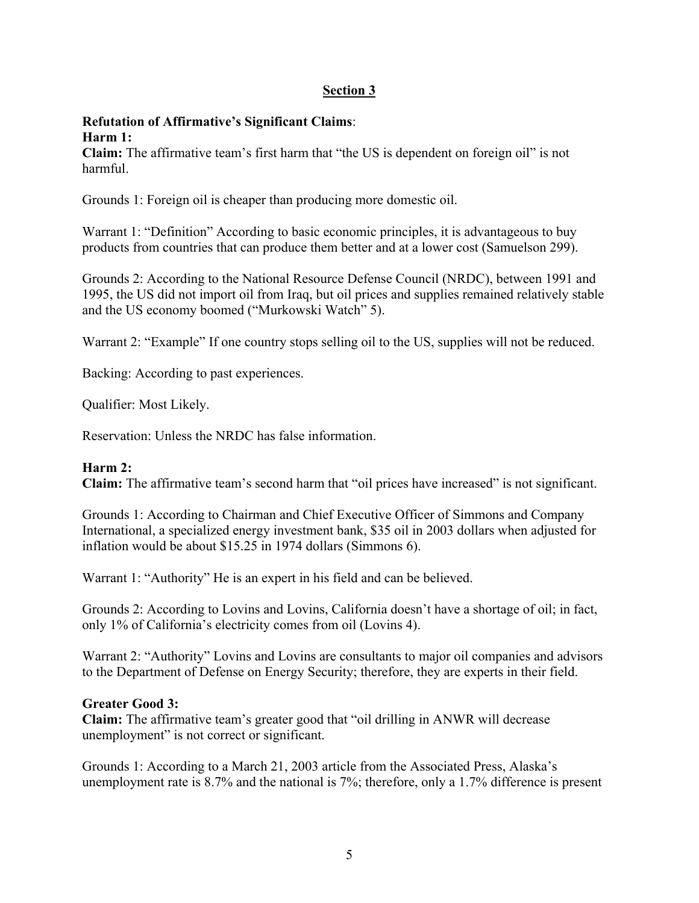# **Section 3**

#### **Refutation of Affirmative's Significant Claims**: **Harm 1:**

**Claim:** The affirmative team's first harm that "the US is dependent on foreign oil" is not harmful.

Grounds 1: Foreign oil is cheaper than producing more domestic oil.

Warrant 1: "Definition" According to basic economic principles, it is advantageous to buy products from countries that can produce them better and at a lower cost (Samuelson 299).

Grounds 2: According to the National Resource Defense Council (NRDC), between 1991 and 1995, the US did not import oil from Iraq, but oil prices and supplies remained relatively stable and the US economy boomed ("Murkowski Watch" 5).

Warrant 2: "Example" If one country stops selling oil to the US, supplies will not be reduced.

Backing: According to past experiences.

Qualifier: Most Likely.

Reservation: Unless the NRDC has false information.

#### **Harm 2:**

**Claim:** The affirmative team's second harm that "oil prices have increased" is not significant.

Grounds 1: According to Chairman and Chief Executive Officer of Simmons and Company International, a specialized energy investment bank, \$35 oil in 2003 dollars when adjusted for inflation would be about \$15.25 in 1974 dollars (Simmons 6).

Warrant 1: "Authority" He is an expert in his field and can be believed.

Grounds 2: According to Lovins and Lovins, California doesn't have a shortage of oil; in fact, only 1% of California's electricity comes from oil (Lovins 4).

Warrant 2: "Authority" Lovins and Lovins are consultants to major oil companies and advisors to the Department of Defense on Energy Security; therefore, they are experts in their field.

#### **Greater Good 3:**

**Claim:** The affirmative team's greater good that "oil drilling in ANWR will decrease unemployment" is not correct or significant.

Grounds 1: According to a March 21, 2003 article from the Associated Press, Alaska's unemployment rate is 8.7% and the national is 7%; therefore, only a 1.7% difference is present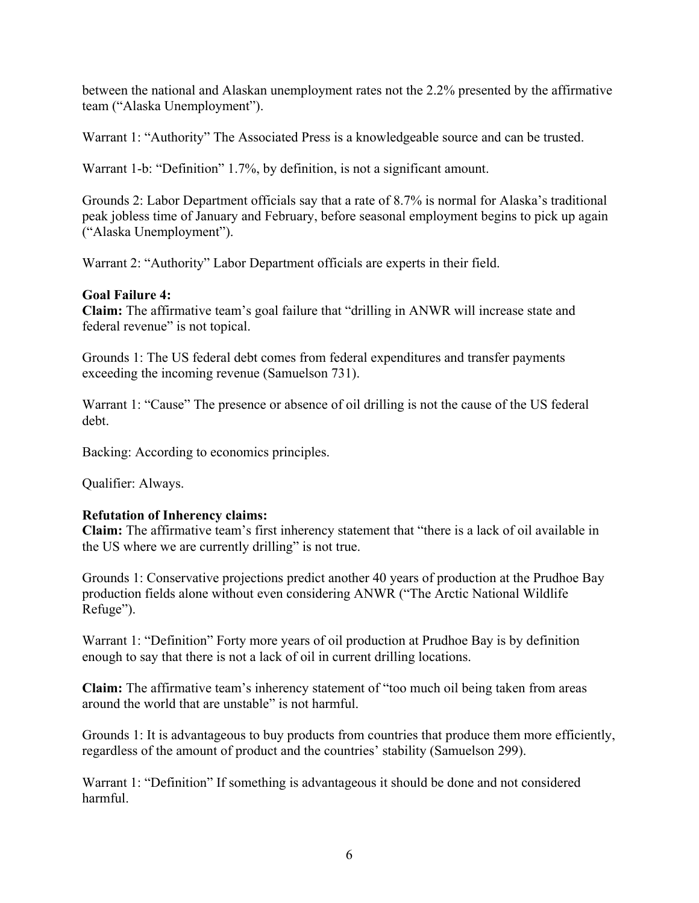between the national and Alaskan unemployment rates not the 2.2% presented by the affirmative team ("Alaska Unemployment").

Warrant 1: "Authority" The Associated Press is a knowledgeable source and can be trusted.

Warrant 1-b: "Definition" 1.7%, by definition, is not a significant amount.

Grounds 2: Labor Department officials say that a rate of 8.7% is normal for Alaska's traditional peak jobless time of January and February, before seasonal employment begins to pick up again ("Alaska Unemployment").

Warrant 2: "Authority" Labor Department officials are experts in their field.

### **Goal Failure 4:**

**Claim:** The affirmative team's goal failure that "drilling in ANWR will increase state and federal revenue" is not topical.

Grounds 1: The US federal debt comes from federal expenditures and transfer payments exceeding the incoming revenue (Samuelson 731).

Warrant 1: "Cause" The presence or absence of oil drilling is not the cause of the US federal debt.

Backing: According to economics principles.

Qualifier: Always.

#### **Refutation of Inherency claims:**

**Claim:** The affirmative team's first inherency statement that "there is a lack of oil available in the US where we are currently drilling" is not true.

Grounds 1: Conservative projections predict another 40 years of production at the Prudhoe Bay production fields alone without even considering ANWR ("The Arctic National Wildlife Refuge").

Warrant 1: "Definition" Forty more years of oil production at Prudhoe Bay is by definition enough to say that there is not a lack of oil in current drilling locations.

**Claim:** The affirmative team's inherency statement of "too much oil being taken from areas around the world that are unstable" is not harmful.

Grounds 1: It is advantageous to buy products from countries that produce them more efficiently, regardless of the amount of product and the countries' stability (Samuelson 299).

Warrant 1: "Definition" If something is advantageous it should be done and not considered harmful.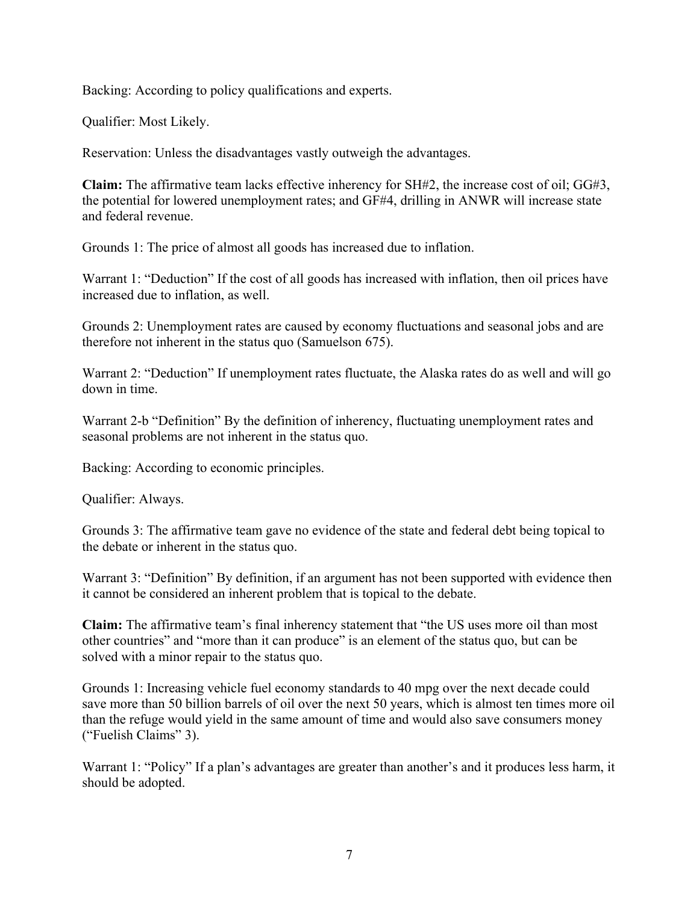Backing: According to policy qualifications and experts.

Qualifier: Most Likely.

Reservation: Unless the disadvantages vastly outweigh the advantages.

**Claim:** The affirmative team lacks effective inherency for SH#2, the increase cost of oil; GG#3, the potential for lowered unemployment rates; and GF#4, drilling in ANWR will increase state and federal revenue.

Grounds 1: The price of almost all goods has increased due to inflation.

Warrant 1: "Deduction" If the cost of all goods has increased with inflation, then oil prices have increased due to inflation, as well.

Grounds 2: Unemployment rates are caused by economy fluctuations and seasonal jobs and are therefore not inherent in the status quo (Samuelson 675).

Warrant 2: "Deduction" If unemployment rates fluctuate, the Alaska rates do as well and will go down in time.

Warrant 2-b "Definition" By the definition of inherency, fluctuating unemployment rates and seasonal problems are not inherent in the status quo.

Backing: According to economic principles.

Qualifier: Always.

Grounds 3: The affirmative team gave no evidence of the state and federal debt being topical to the debate or inherent in the status quo.

Warrant 3: "Definition" By definition, if an argument has not been supported with evidence then it cannot be considered an inherent problem that is topical to the debate.

**Claim:** The affirmative team's final inherency statement that "the US uses more oil than most other countries" and "more than it can produce" is an element of the status quo, but can be solved with a minor repair to the status quo.

Grounds 1: Increasing vehicle fuel economy standards to 40 mpg over the next decade could save more than 50 billion barrels of oil over the next 50 years, which is almost ten times more oil than the refuge would yield in the same amount of time and would also save consumers money ("Fuelish Claims" 3).

Warrant 1: "Policy" If a plan's advantages are greater than another's and it produces less harm, it should be adopted.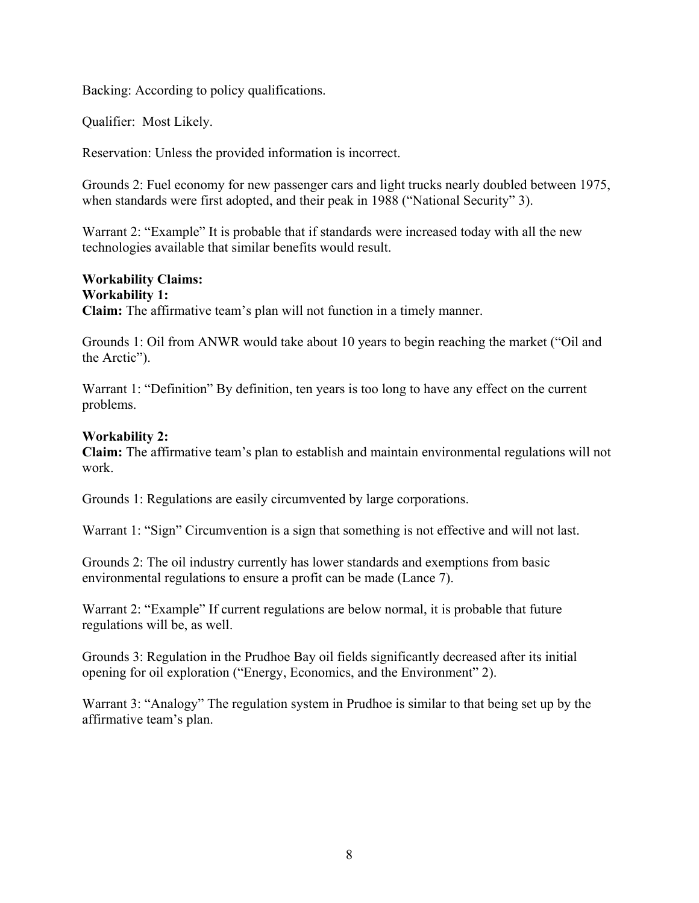Backing: According to policy qualifications.

Qualifier: Most Likely.

Reservation: Unless the provided information is incorrect.

Grounds 2: Fuel economy for new passenger cars and light trucks nearly doubled between 1975, when standards were first adopted, and their peak in 1988 ("National Security" 3).

Warrant 2: "Example" It is probable that if standards were increased today with all the new technologies available that similar benefits would result.

# **Workability Claims:**

**Workability 1: Claim:** The affirmative team's plan will not function in a timely manner.

Grounds 1: Oil from ANWR would take about 10 years to begin reaching the market ("Oil and the Arctic").

Warrant 1: "Definition" By definition, ten years is too long to have any effect on the current problems.

### **Workability 2:**

**Claim:** The affirmative team's plan to establish and maintain environmental regulations will not work.

Grounds 1: Regulations are easily circumvented by large corporations.

Warrant 1: "Sign" Circumvention is a sign that something is not effective and will not last.

Grounds 2: The oil industry currently has lower standards and exemptions from basic environmental regulations to ensure a profit can be made (Lance 7).

Warrant 2: "Example" If current regulations are below normal, it is probable that future regulations will be, as well.

Grounds 3: Regulation in the Prudhoe Bay oil fields significantly decreased after its initial opening for oil exploration ("Energy, Economics, and the Environment" 2).

Warrant 3: "Analogy" The regulation system in Prudhoe is similar to that being set up by the affirmative team's plan.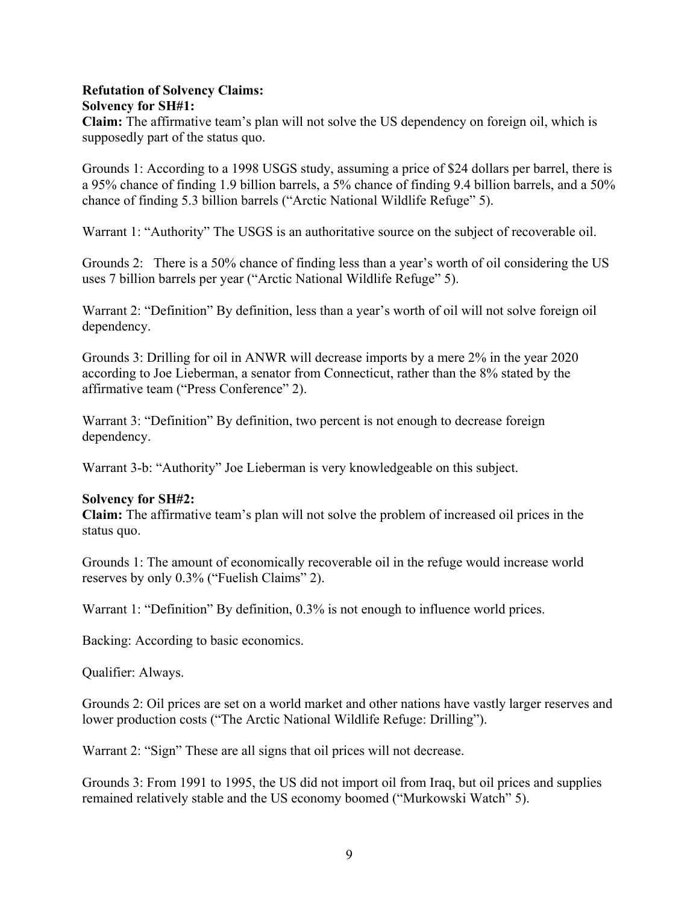#### **Refutation of Solvency Claims: Solvency for SH#1:**

**Claim:** The affirmative team's plan will not solve the US dependency on foreign oil, which is supposedly part of the status quo.

Grounds 1: According to a 1998 USGS study, assuming a price of \$24 dollars per barrel, there is a 95% chance of finding 1.9 billion barrels, a 5% chance of finding 9.4 billion barrels, and a 50% chance of finding 5.3 billion barrels ("Arctic National Wildlife Refuge" 5).

Warrant 1: "Authority" The USGS is an authoritative source on the subject of recoverable oil.

Grounds 2: There is a 50% chance of finding less than a year's worth of oil considering the US uses 7 billion barrels per year ("Arctic National Wildlife Refuge" 5).

Warrant 2: "Definition" By definition, less than a year's worth of oil will not solve foreign oil dependency.

Grounds 3: Drilling for oil in ANWR will decrease imports by a mere 2% in the year 2020 according to Joe Lieberman, a senator from Connecticut, rather than the 8% stated by the affirmative team ("Press Conference" 2).

Warrant 3: "Definition" By definition, two percent is not enough to decrease foreign dependency.

Warrant 3-b: "Authority" Joe Lieberman is very knowledgeable on this subject.

#### **Solvency for SH#2:**

**Claim:** The affirmative team's plan will not solve the problem of increased oil prices in the status quo.

Grounds 1: The amount of economically recoverable oil in the refuge would increase world reserves by only 0.3% ("Fuelish Claims" 2).

Warrant 1: "Definition" By definition, 0.3% is not enough to influence world prices.

Backing: According to basic economics.

Qualifier: Always.

Grounds 2: Oil prices are set on a world market and other nations have vastly larger reserves and lower production costs ("The Arctic National Wildlife Refuge: Drilling").

Warrant 2: "Sign" These are all signs that oil prices will not decrease.

Grounds 3: From 1991 to 1995, the US did not import oil from Iraq, but oil prices and supplies remained relatively stable and the US economy boomed ("Murkowski Watch" 5).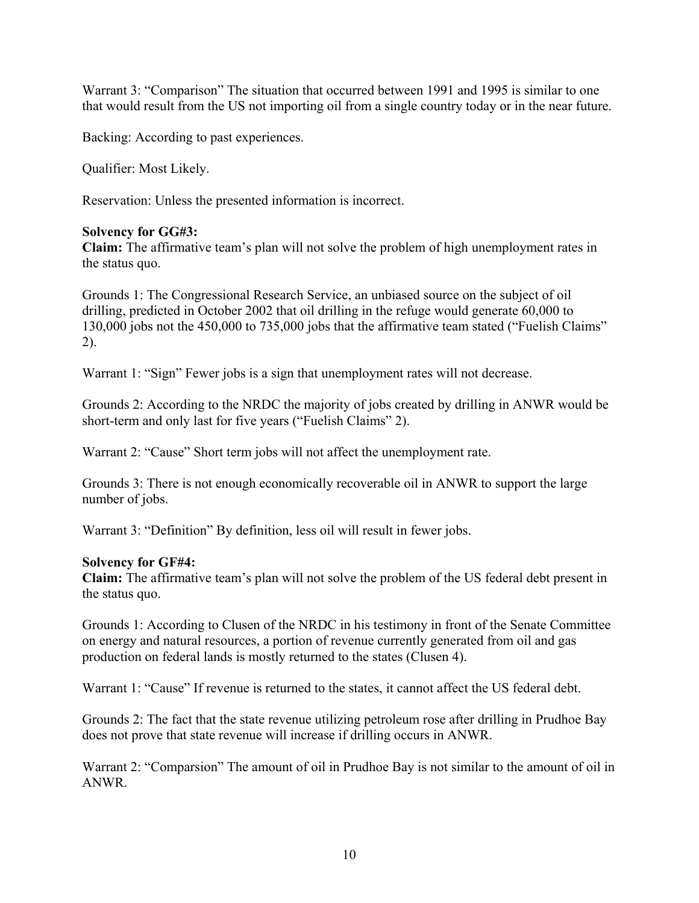Warrant 3: "Comparison" The situation that occurred between 1991 and 1995 is similar to one that would result from the US not importing oil from a single country today or in the near future.

Backing: According to past experiences.

Qualifier: Most Likely.

Reservation: Unless the presented information is incorrect.

#### **Solvency for GG#3:**

**Claim:** The affirmative team's plan will not solve the problem of high unemployment rates in the status quo.

Grounds 1: The Congressional Research Service, an unbiased source on the subject of oil drilling, predicted in October 2002 that oil drilling in the refuge would generate 60,000 to 130,000 jobs not the 450,000 to 735,000 jobs that the affirmative team stated ("Fuelish Claims" 2).

Warrant 1: "Sign" Fewer jobs is a sign that unemployment rates will not decrease.

Grounds 2: According to the NRDC the majority of jobs created by drilling in ANWR would be short-term and only last for five years ("Fuelish Claims" 2).

Warrant 2: "Cause" Short term jobs will not affect the unemployment rate.

Grounds 3: There is not enough economically recoverable oil in ANWR to support the large number of jobs.

Warrant 3: "Definition" By definition, less oil will result in fewer jobs.

#### **Solvency for GF#4:**

**Claim:** The affirmative team's plan will not solve the problem of the US federal debt present in the status quo.

Grounds 1: According to Clusen of the NRDC in his testimony in front of the Senate Committee on energy and natural resources, a portion of revenue currently generated from oil and gas production on federal lands is mostly returned to the states (Clusen 4).

Warrant 1: "Cause" If revenue is returned to the states, it cannot affect the US federal debt.

Grounds 2: The fact that the state revenue utilizing petroleum rose after drilling in Prudhoe Bay does not prove that state revenue will increase if drilling occurs in ANWR.

Warrant 2: "Comparsion" The amount of oil in Prudhoe Bay is not similar to the amount of oil in ANWR.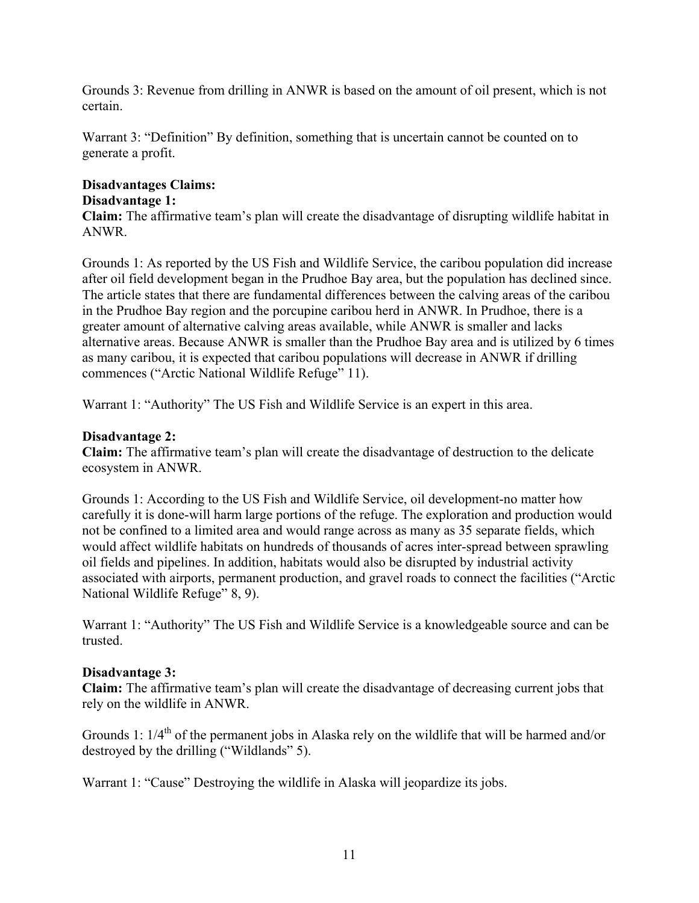Grounds 3: Revenue from drilling in ANWR is based on the amount of oil present, which is not certain.

Warrant 3: "Definition" By definition, something that is uncertain cannot be counted on to generate a profit.

# **Disadvantages Claims: Disadvantage 1:**

**Claim:** The affirmative team's plan will create the disadvantage of disrupting wildlife habitat in ANWR.

Grounds 1: As reported by the US Fish and Wildlife Service, the caribou population did increase after oil field development began in the Prudhoe Bay area, but the population has declined since. The article states that there are fundamental differences between the calving areas of the caribou in the Prudhoe Bay region and the porcupine caribou herd in ANWR. In Prudhoe, there is a greater amount of alternative calving areas available, while ANWR is smaller and lacks alternative areas. Because ANWR is smaller than the Prudhoe Bay area and is utilized by 6 times as many caribou, it is expected that caribou populations will decrease in ANWR if drilling commences ("Arctic National Wildlife Refuge" 11).

Warrant 1: "Authority" The US Fish and Wildlife Service is an expert in this area.

### **Disadvantage 2:**

**Claim:** The affirmative team's plan will create the disadvantage of destruction to the delicate ecosystem in ANWR.

Grounds 1: According to the US Fish and Wildlife Service, oil development-no matter how carefully it is done-will harm large portions of the refuge. The exploration and production would not be confined to a limited area and would range across as many as 35 separate fields, which would affect wildlife habitats on hundreds of thousands of acres inter-spread between sprawling oil fields and pipelines. In addition, habitats would also be disrupted by industrial activity associated with airports, permanent production, and gravel roads to connect the facilities ("Arctic National Wildlife Refuge" 8, 9).

Warrant 1: "Authority" The US Fish and Wildlife Service is a knowledgeable source and can be trusted.

## **Disadvantage 3:**

**Claim:** The affirmative team's plan will create the disadvantage of decreasing current jobs that rely on the wildlife in ANWR.

Grounds 1:  $1/4<sup>th</sup>$  of the permanent jobs in Alaska rely on the wildlife that will be harmed and/or destroyed by the drilling ("Wildlands" 5).

Warrant 1: "Cause" Destroying the wildlife in Alaska will jeopardize its jobs.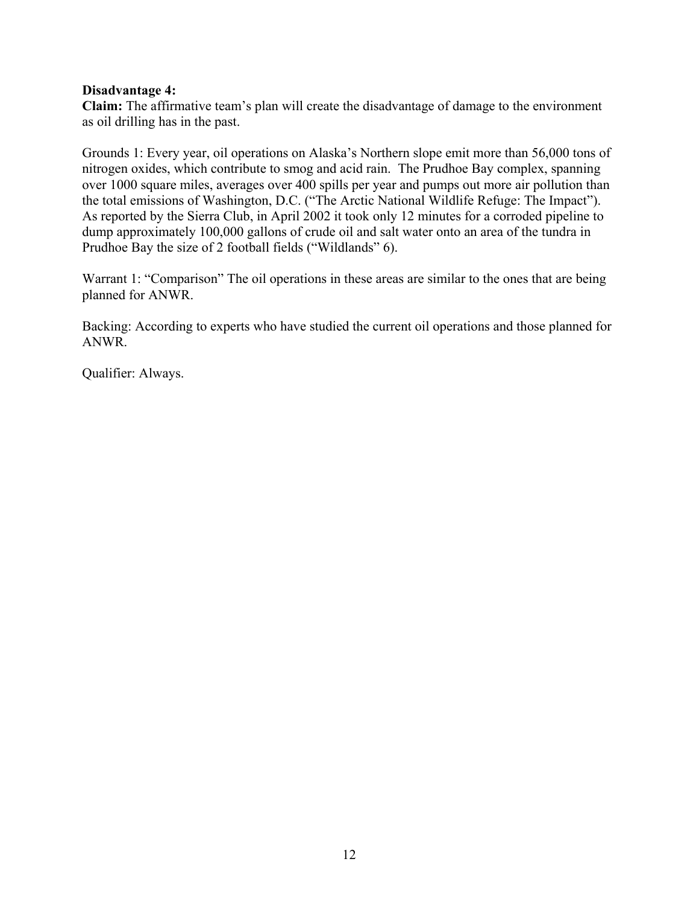#### **Disadvantage 4:**

**Claim:** The affirmative team's plan will create the disadvantage of damage to the environment as oil drilling has in the past.

Grounds 1: Every year, oil operations on Alaska's Northern slope emit more than 56,000 tons of nitrogen oxides, which contribute to smog and acid rain. The Prudhoe Bay complex, spanning over 1000 square miles, averages over 400 spills per year and pumps out more air pollution than the total emissions of Washington, D.C. ("The Arctic National Wildlife Refuge: The Impact"). As reported by the Sierra Club, in April 2002 it took only 12 minutes for a corroded pipeline to dump approximately 100,000 gallons of crude oil and salt water onto an area of the tundra in Prudhoe Bay the size of 2 football fields ("Wildlands" 6).

Warrant 1: "Comparison" The oil operations in these areas are similar to the ones that are being planned for ANWR.

Backing: According to experts who have studied the current oil operations and those planned for ANWR.

Qualifier: Always.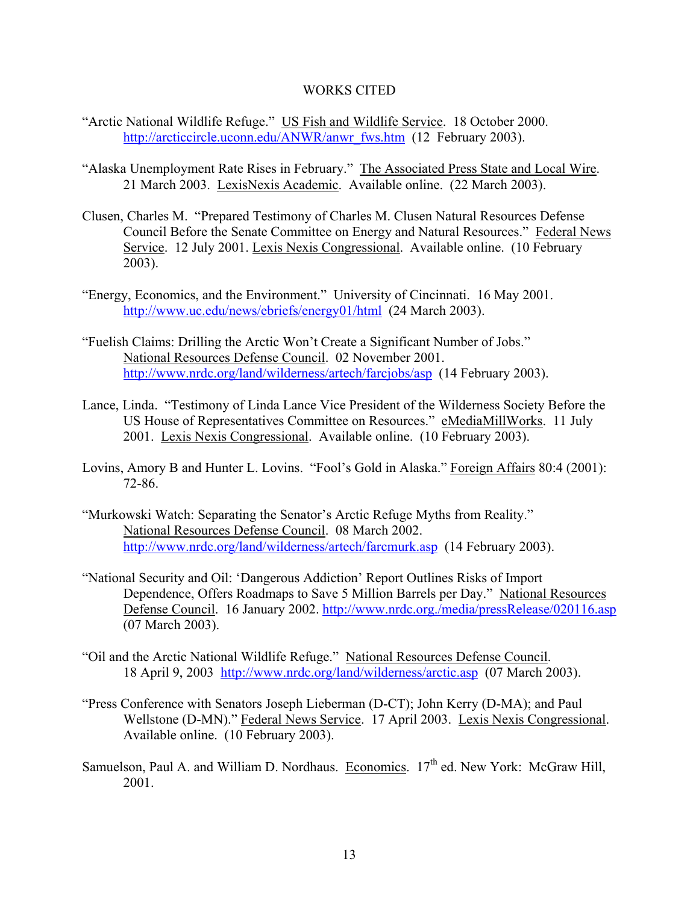#### WORKS CITED

- "Arctic National Wildlife Refuge." US Fish and Wildlife Service. 18 October 2000. http://arcticcircle.uconn.edu/ANWR/anwr\_fws.htm (12 February 2003).
- "Alaska Unemployment Rate Rises in February." The Associated Press State and Local Wire. 21 March 2003. LexisNexis Academic. Available online. (22 March 2003).
- Clusen, Charles M. "Prepared Testimony of Charles M. Clusen Natural Resources Defense Council Before the Senate Committee on Energy and Natural Resources." Federal News Service. 12 July 2001. Lexis Nexis Congressional. Available online. (10 February 2003).
- "Energy, Economics, and the Environment." University of Cincinnati. 16 May 2001. http://www.uc.edu/news/ebriefs/energy01/html (24 March 2003).
- "Fuelish Claims: Drilling the Arctic Won't Create a Significant Number of Jobs." National Resources Defense Council. 02 November 2001. http://www.nrdc.org/land/wilderness/artech/farcjobs/asp (14 February 2003).
- Lance, Linda. "Testimony of Linda Lance Vice President of the Wilderness Society Before the US House of Representatives Committee on Resources." eMediaMillWorks. 11 July 2001. Lexis Nexis Congressional. Available online. (10 February 2003).
- Lovins, Amory B and Hunter L. Lovins. "Fool's Gold in Alaska." Foreign Affairs 80:4 (2001): 72-86.
- "Murkowski Watch: Separating the Senator's Arctic Refuge Myths from Reality." National Resources Defense Council. 08 March 2002. http://www.nrdc.org/land/wilderness/artech/farcmurk.asp (14 February 2003).
- "National Security and Oil: 'Dangerous Addiction' Report Outlines Risks of Import Dependence, Offers Roadmaps to Save 5 Million Barrels per Day." National Resources Defense Council. 16 January 2002. http://www.nrdc.org./media/pressRelease/020116.asp (07 March 2003).
- "Oil and the Arctic National Wildlife Refuge." National Resources Defense Council. 18 April 9, 2003 http://www.nrdc.org/land/wilderness/arctic.asp (07 March 2003).
- "Press Conference with Senators Joseph Lieberman (D-CT); John Kerry (D-MA); and Paul Wellstone (D-MN)." Federal News Service. 17 April 2003. Lexis Nexis Congressional. Available online. (10 February 2003).
- Samuelson, Paul A. and William D. Nordhaus. Economics.  $17<sup>th</sup>$  ed. New York: McGraw Hill, 2001.